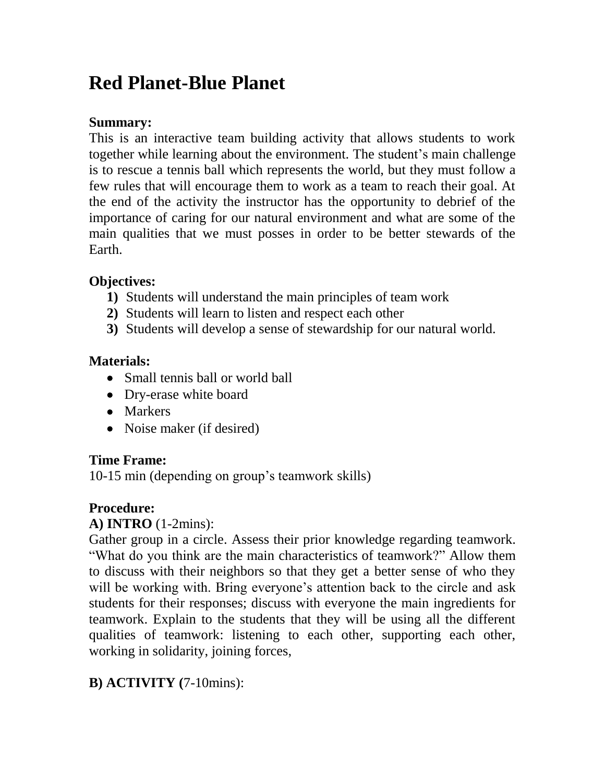# **Red Planet-Blue Planet**

## **Summary:**

This is an interactive team building activity that allows students to work together while learning about the environment. The student's main challenge is to rescue a tennis ball which represents the world, but they must follow a few rules that will encourage them to work as a team to reach their goal. At the end of the activity the instructor has the opportunity to debrief of the importance of caring for our natural environment and what are some of the main qualities that we must posses in order to be better stewards of the Earth.

## **Objectives:**

- **1)** Students will understand the main principles of team work
- **2)** Students will learn to listen and respect each other
- **3)** Students will develop a sense of stewardship for our natural world.

#### **Materials:**

- Small tennis ball or world ball
- Dry-erase white board
- Markers
- Noise maker (if desired)

## **Time Frame:**

10-15 min (depending on group's teamwork skills)

## **Procedure:**

## **A) INTRO** (1-2mins):

Gather group in a circle. Assess their prior knowledge regarding teamwork. "What do you think are the main characteristics of teamwork?" Allow them to discuss with their neighbors so that they get a better sense of who they will be working with. Bring everyone's attention back to the circle and ask students for their responses; discuss with everyone the main ingredients for teamwork. Explain to the students that they will be using all the different qualities of teamwork: listening to each other, supporting each other, working in solidarity, joining forces,

# **B) ACTIVITY (**7-10mins):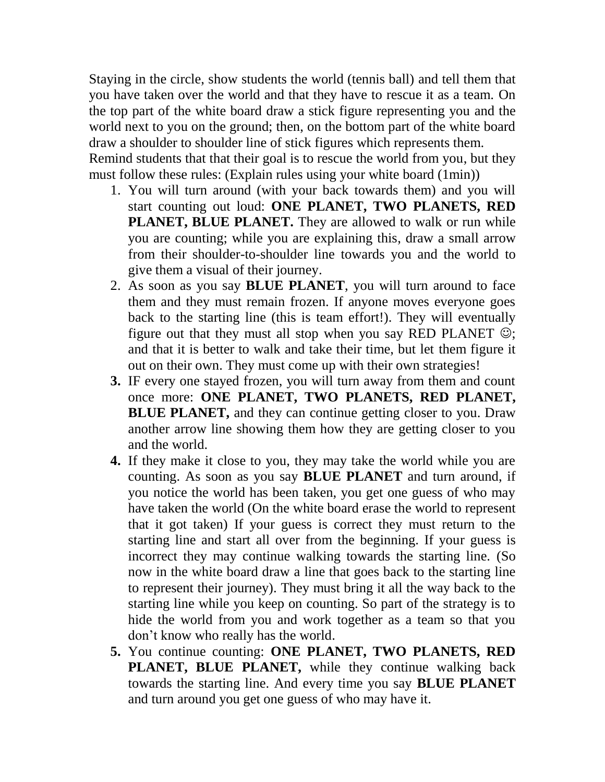Staying in the circle, show students the world (tennis ball) and tell them that you have taken over the world and that they have to rescue it as a team. On the top part of the white board draw a stick figure representing you and the world next to you on the ground; then, on the bottom part of the white board draw a shoulder to shoulder line of stick figures which represents them. Remind students that that their goal is to rescue the world from you, but they must follow these rules: (Explain rules using your white board (1min))

- 1. You will turn around (with your back towards them) and you will start counting out loud: **ONE PLANET, TWO PLANETS, RED PLANET, BLUE PLANET.** They are allowed to walk or run while you are counting; while you are explaining this, draw a small arrow from their shoulder-to-shoulder line towards you and the world to give them a visual of their journey.
- 2. As soon as you say **BLUE PLANET**, you will turn around to face them and they must remain frozen. If anyone moves everyone goes back to the starting line (this is team effort!). They will eventually figure out that they must all stop when you say RED PLANET  $\odot$ ; and that it is better to walk and take their time, but let them figure it out on their own. They must come up with their own strategies!
- **3.** IF every one stayed frozen, you will turn away from them and count once more: **ONE PLANET, TWO PLANETS, RED PLANET, BLUE PLANET,** and they can continue getting closer to you. Draw another arrow line showing them how they are getting closer to you and the world.
- **4.** If they make it close to you, they may take the world while you are counting. As soon as you say **BLUE PLANET** and turn around, if you notice the world has been taken, you get one guess of who may have taken the world (On the white board erase the world to represent that it got taken) If your guess is correct they must return to the starting line and start all over from the beginning. If your guess is incorrect they may continue walking towards the starting line. (So now in the white board draw a line that goes back to the starting line to represent their journey). They must bring it all the way back to the starting line while you keep on counting. So part of the strategy is to hide the world from you and work together as a team so that you don't know who really has the world.
- **5.** You continue counting: **ONE PLANET, TWO PLANETS, RED PLANET, BLUE PLANET,** while they continue walking back towards the starting line. And every time you say **BLUE PLANET** and turn around you get one guess of who may have it.